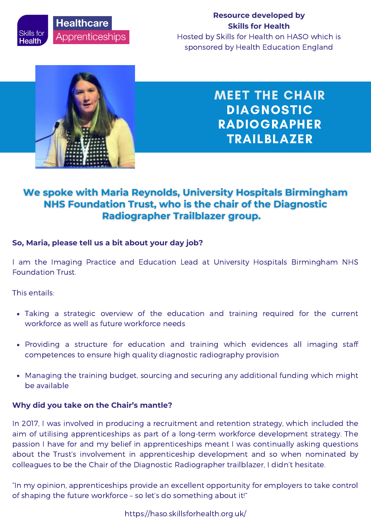**Healthcare** Skills for **Apprenticeships** Health

## **Resource developed by Skills for Health**

Hosted by Skills for Health on HASO which is sponsored by Health Education England



MEET THE CHAIR DIAGNOSTIC RADIOGRAPHER TRAILBLAZER

## We spoke with Maria Reynolds, University Hospitals Birmingham NHS Foundation Trust, who is the chair of the Diagnostic Radiographer Trailblazer group.

## **So, Maria, please tell us a bit about your day job?**

I am the Imaging Practice and Education Lead at University Hospitals Birmingham NHS Foundation Trust.

This entails:

- Taking a strategic overview of the education and training required for the current workforce as well as future workforce needs
- Providing a structure for education and training which evidences all imaging staff competences to ensure high quality diagnostic radiography provision
- Managing the training budget, sourcing and securing any additional funding which might be available

### **Why did you take on the Chair's mantle?**

In 2017, I was involved in producing a recruitment and retention strategy, which included the aim of utilising apprenticeships as part of a long-term workforce development strategy. The passion I have for and my belief in apprenticeships meant I was continually asking questions about the Trust's involvement in apprenticeship development and so when nominated by colleagues to be the Chair of the Diagnostic Radiographer trailblazer, I didn't hesitate.

"In my opinion, apprenticeships provide an excellent opportunity for employers to take control of shaping the future workforce – so let's do something about it!"

https://haso.skillsforhealth.org.uk/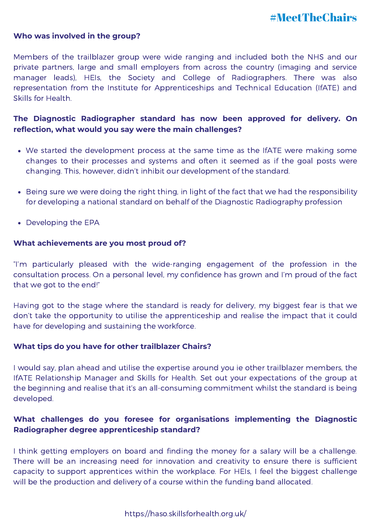# #MeetTheChairs

#### **Who was involved in the group?**

Members of the trailblazer group were wide ranging and included both the NHS and our private partners, large and small employers from across the country (imaging and service manager leads), HEIs, the Society and College of Radiographers. There was also representation from the Institute for Apprenticeships and Technical Education (IfATE) and Skills for Health.

## **The Diagnostic Radiographer standard has now been approved for delivery. On reflection, what would you say were the main challenges?**

- We started the development process at the same time as the IfATE were making some changes to their processes and systems and often it seemed as if the goal posts were changing. This, however, didn't inhibit our development of the standard.
- Being sure we were doing the right thing, in light of the fact that we had the responsibility for developing a national standard on behalf of the Diagnostic Radiography profession
- Developing the EPA

#### **What achievements are you most proud of?**

"I'm particularly pleased with the wide-ranging engagement of the profession in the consultation process. On a personal level, my confidence has grown and I'm proud of the fact that we got to the end!"

Having got to the stage where the standard is ready for delivery, my biggest fear is that we don't take the opportunity to utilise the apprenticeship and realise the impact that it could have for developing and sustaining the workforce.

#### **What tips do you have for other trailblazer Chairs?**

I would say, plan ahead and utilise the expertise around you ie other trailblazer members, the IfATE Relationship Manager and Skills for Health. Set out your expectations of the group at the beginning and realise that it's an all-consuming commitment whilst the standard is being developed.

## **What challenges do you foresee for organisations implementing the Diagnostic Radiographer degree apprenticeship standard?**

I think getting employers on board and finding the money for a salary will be a challenge. There will be an increasing need for innovation and creativity to ensure there is sufficient capacity to support apprentices within the workplace. For HEIs, I feel the biggest challenge will be the production and delivery of a course within the funding band allocated.

#### https://haso.skillsforhealth.org.uk/